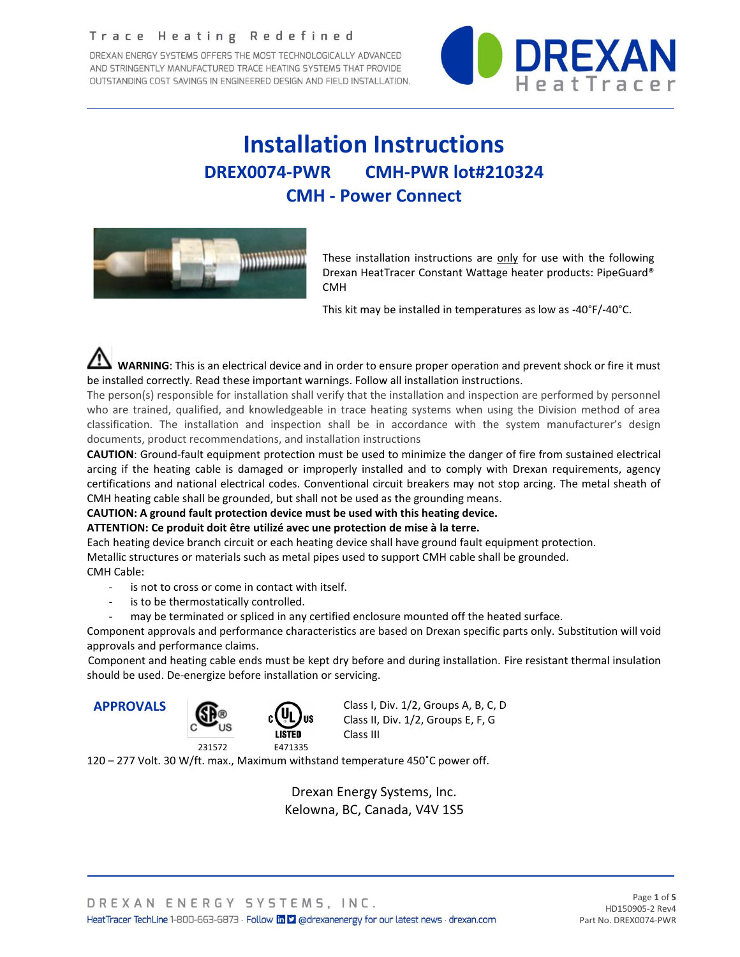#### Trace Heating Redefined

DREXAN ENERGY SYSTEMS OFFERS THE MOST TECHNOLOGICALLY ADVANCED AND STRINGENTLY MANUFACTURED TRACE HEATING SYSTEMS THAT PROVIDE OUTSTANDING COST SAVINGS IN ENGINEERED DESIGN AND FIELD INSTALLATION.



# **Installation Instructions DREX0074-PWR CMH-PWR lot#210324 CMH - Power Connect**



These installation instructions are only for use with the following Drexan HeatTracer Constant Wattage heater products: PipeGuard® CMH

This kit may be installed in temperatures as low as -40°F/-40°C.

 **WARNING**: This is an electrical device and in order to ensure proper operation and prevent shock or fire it must be installed correctly. Read these important warnings. Follow all installation instructions.

The person(s) responsible for installation shall verify that the installation and inspection are performed by personnel who are trained, qualified, and knowledgeable in trace heating systems when using the Division method of area classification. The installation and inspection shall be in accordance with the system manufacturer's design documents, product recommendations, and installation instructions

**CAUTION**: Ground-fault equipment protection must be used to minimize the danger of fire from sustained electrical arcing if the heating cable is damaged or improperly installed and to comply with Drexan requirements, agency certifications and national electrical codes. Conventional circuit breakers may not stop arcing. The metal sheath of CMH heating cable shall be grounded, but shall not be used as the grounding means.

#### **CAUTION: A ground fault protection device must be used with this heating device.**

#### **ATTENTION: Ce produit doit être utilizé avec une protection de mise à la terre.**

Each heating device branch circuit or each heating device shall have ground fault equipment protection.

Metallic structures or materials such as metal pipes used to support CMH cable shall be grounded. CMH Cable:

- is not to cross or come in contact with itself.
- is to be thermostatically controlled.
- may be terminated or spliced in any certified enclosure mounted off the heated surface.

Component approvals and performance characteristics are based on Drexan specific parts only. Substitution will void approvals and performance claims.

Component and heating cable ends must be kept dry before and during installation. Fire resistant thermal insulation should be used. De-energize before installation or servicing.



**APPROVALS** APPROVALS A Class I, Div. 1/2, Groups A, B, C, D Class II, Div. 1/2, Groups E, F, G Class III

120 – 277 Volt. 30 W/ft. max., Maximum withstand temperature 450˚C power off.

Drexan Energy Systems, Inc. Kelowna, BC, Canada, V4V 1S5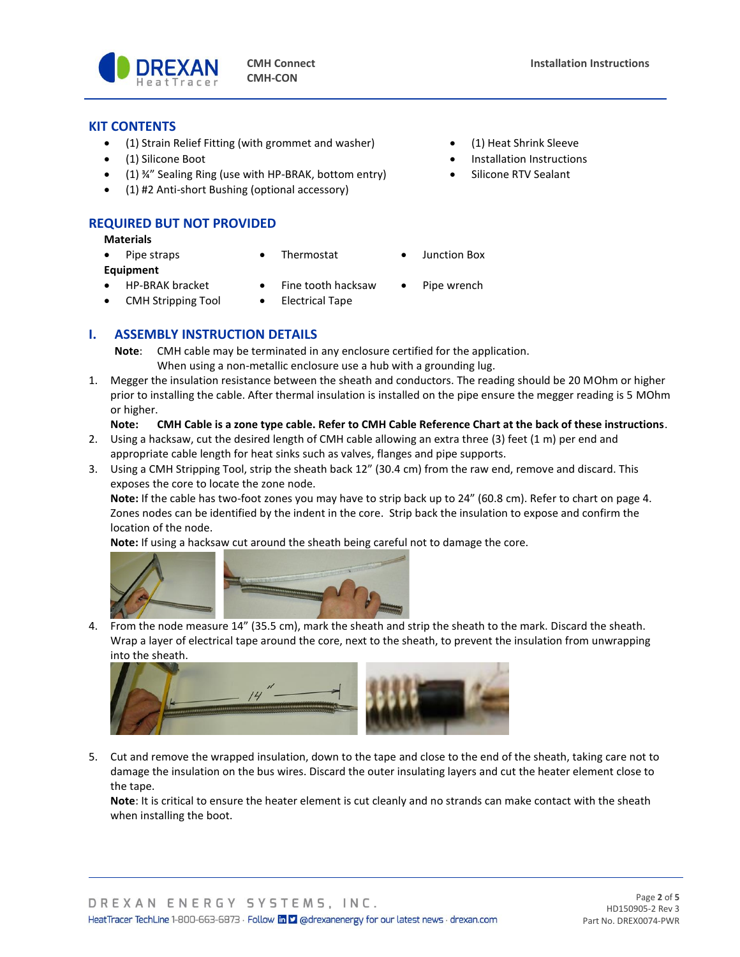

#### **KIT CONTENTS**

- (1) Strain Relief Fitting (with grommet and washer) (1) Heat Shrink Sleeve
- 
- (1) ¾" Sealing Ring (use with HP-BRAK, bottom entry) Silicone RTV Sealant
- (1) #2 Anti-short Bushing (optional accessory)

#### **REQUIRED BUT NOT PROVIDED**

**Materials**

- Pipe straps Thermostat Junction Box **Equipment** • HP-BRAK bracket • Fine tooth hacksaw • Pipe wrench
- 
- 
- CMH Stripping Tool Electrical Tape
- (1) Silicone Boot Installation Instructions
	-

- 
- **I. ASSEMBLY INSTRUCTION DETAILS**
	- **Note**: CMH cable may be terminated in any enclosure certified for the application. When using a non-metallic enclosure use a hub with a grounding lug.
- 1. Megger the insulation resistance between the sheath and conductors. The reading should be 20 MOhm or higher prior to installing the cable. After thermal insulation is installed on the pipe ensure the megger reading is 5 MOhm or higher.

#### **Note: CMH Cable is a zone type cable. Refer to CMH Cable Reference Chart at the back of these instructions**.

- 2. Using a hacksaw, cut the desired length of CMH cable allowing an extra three (3) feet (1 m) per end and appropriate cable length for heat sinks such as valves, flanges and pipe supports.
- 3. Using a CMH Stripping Tool, strip the sheath back 12" (30.4 cm) from the raw end, remove and discard. This exposes the core to locate the zone node.

**Note:** If the cable has two-foot zones you may have to strip back up to 24" (60.8 cm). Refer to chart on page 4. Zones nodes can be identified by the indent in the core. Strip back the insulation to expose and confirm the location of the node.

**Note:** If using a hacksaw cut around the sheath being careful not to damage the core.



4. From the node measure 14" (35.5 cm), mark the sheath and strip the sheath to the mark. Discard the sheath. Wrap a layer of electrical tape around the core, next to the sheath, to prevent the insulation from unwrapping into the sheath.



5. Cut and remove the wrapped insulation, down to the tape and close to the end of the sheath, taking care not to damage the insulation on the bus wires. Discard the outer insulating layers and cut the heater element close to the tape.

**Note**: It is critical to ensure the heater element is cut cleanly and no strands can make contact with the sheath when installing the boot.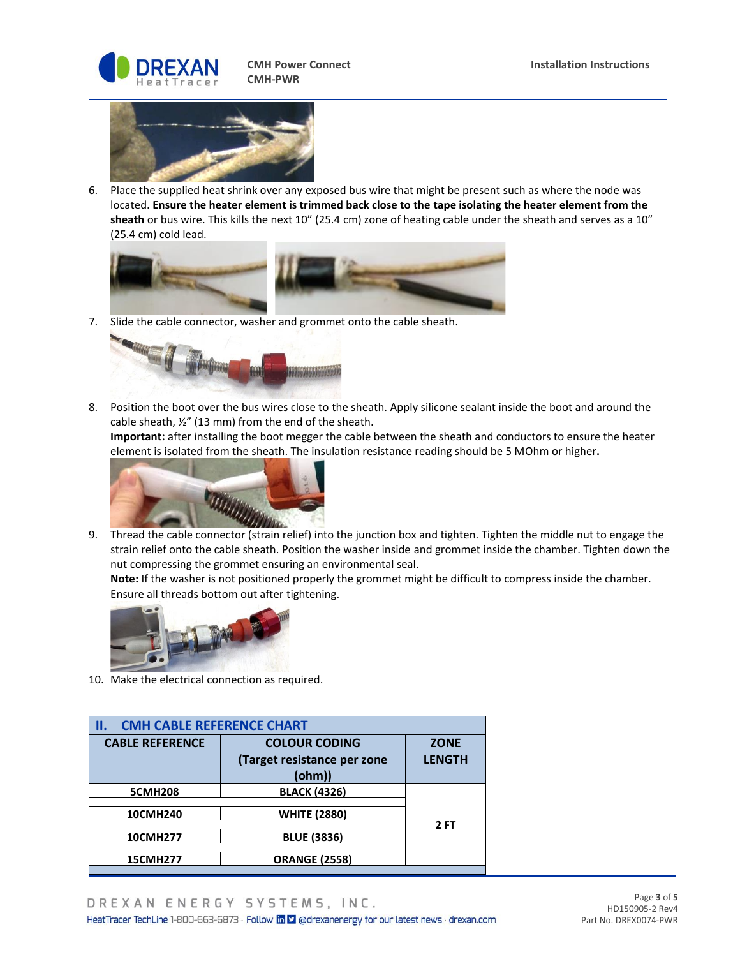



6. Place the supplied heat shrink over any exposed bus wire that might be present such as where the node was located. **Ensure the heater element is trimmed back close to the tape isolating the heater element from the sheath** or bus wire. This kills the next 10" (25.4 cm) zone of heating cable under the sheath and serves as a 10" (25.4 cm) cold lead.



7. Slide the cable connector, washer and grommet onto the cable sheath.



8. Position the boot over the bus wires close to the sheath. Apply silicone sealant inside the boot and around the cable sheath, ½" (13 mm) from the end of the sheath.

**Important:** after installing the boot megger the cable between the sheath and conductors to ensure the heater element is isolated from the sheath. The insulation resistance reading should be 5 MOhm or higher**.**



9. Thread the cable connector (strain relief) into the junction box and tighten. Tighten the middle nut to engage the strain relief onto the cable sheath. Position the washer inside and grommet inside the chamber. Tighten down the nut compressing the grommet ensuring an environmental seal.

**Note:** If the washer is not positioned properly the grommet might be difficult to compress inside the chamber. Ensure all threads bottom out after tightening.



10. Make the electrical connection as required.

| <b>CMH CABLE REFERENCE CHART</b><br>ΙΙ. |                             |               |  |  |  |  |  |  |
|-----------------------------------------|-----------------------------|---------------|--|--|--|--|--|--|
| <b>CABLE REFERENCE</b>                  | <b>COLOUR CODING</b>        | <b>ZONE</b>   |  |  |  |  |  |  |
|                                         | (Target resistance per zone | <b>LENGTH</b> |  |  |  |  |  |  |
|                                         | (ohm))                      |               |  |  |  |  |  |  |
| <b>5CMH208</b>                          | <b>BLACK (4326)</b>         |               |  |  |  |  |  |  |
| 10CMH240                                | <b>WHITE (2880)</b>         | 2 FT          |  |  |  |  |  |  |
| <b>10CMH277</b>                         | <b>BLUE (3836)</b>          |               |  |  |  |  |  |  |
| <b>15CMH277</b>                         | <b>ORANGE (2558)</b>        |               |  |  |  |  |  |  |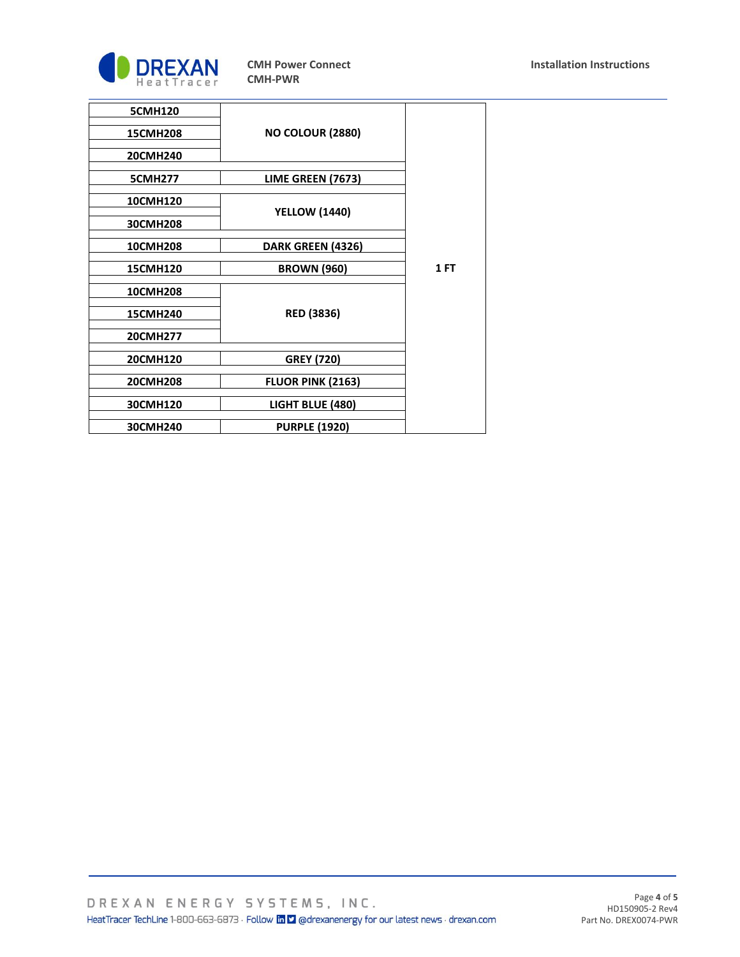

| <b>5CMH120</b>  |                          |      |
|-----------------|--------------------------|------|
| <b>15CMH208</b> | <b>NO COLOUR (2880)</b>  |      |
| 20CMH240        |                          |      |
| <b>5CMH277</b>  | LIME GREEN (7673)        |      |
| 10CMH120        | <b>YELLOW (1440)</b>     |      |
| 30CMH208        |                          |      |
| <b>10CMH208</b> | DARK GREEN (4326)        |      |
| <b>15CMH120</b> | <b>BROWN (960)</b>       | 1 FT |
| <b>10CMH208</b> |                          |      |
| <b>15CMH240</b> | <b>RED (3836)</b>        |      |
| 20CMH277        |                          |      |
| 20CMH120        | <b>GREY (720)</b>        |      |
| 20CMH208        | <b>FLUOR PINK (2163)</b> |      |
| 30CMH120        | LIGHT BLUE (480)         |      |
| 30CMH240        | <b>PURPLE (1920)</b>     |      |